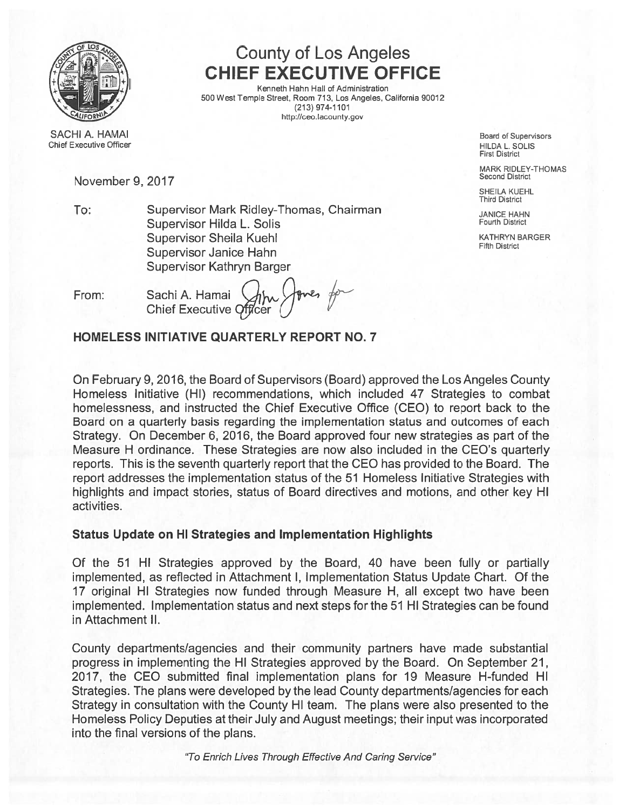

SACHI A. HAMAI Chief Executive Officer

# County of Los Angeles CHIEF EXECUTIVE OFFICE

Kenneth Hahn Hall of Administration 500 West Temple Street, Room 713, Los Angeles, California 90012 (213) 974-1101 http://ceo.Iacounty.gov

> Board of Supervisors HILDA L. SOLIS

November 9, 2017 Second District

To: Supervisor Mark Ridley-Thomas, Chairman<br>Supervisor Hilda L. Solis Supervisor Hilda L. Solis Supervisor Sheila Kuehl Kathronich KATHRYN BARGER KATHRYN BARGER Supervisor Janice Hahn<br>Supervisor Janice Hahn Supervisor Kathryn Barger

First District MARK RIDLEY-THOMAS

SHEILA KUEHL Third District

From: Sachi A. Hamai Chief Executive Officer

# HOMELESS INITIATIVE QUARTERLY REPORT NO. 7

On February 9, 2016, the Board of Supervisors (Board) approved the Los Angeles County Homeless Initiative (HI) recommendations, which included 47 Strategies to combat homelessness, and instructed the Chief Executive Office (CEO) to repor<sup>t</sup> back to the Board on <sup>a</sup> quarterly basis regarding the implementation status and outcomes of each Strategy. On December 6, 2016, the Board approved four new strategies as par<sup>t</sup> of the Measure H ordinance. These Strategies are now also included in the CEO's quarterly reports. This is the seventh quarterly repor<sup>t</sup> that the CEO has provided to the Board. The repor<sup>t</sup> addresses the implementation status of the 51 Homeless Initiative Strategies with highlights and impact stories, status of Board directives and motions, and other key HI activities.

# Status Update on HI Strategies and Implementation Highlights

Of the 51 HI Strategies approved by the Board, 40 have been fully or partially implemented, as reflected in Attachment I, Implementation Status Update Chart. Of the 17 original HI Strategies now funded through Measure H, all excep<sup>t</sup> two have been implemented. Implementation status and next steps for the 51 HI Strategies can be found in Attachment II.

County departments/agencies and their community partners have made substantial progress in implementing the HI Strategies approved by the Board. On September 21, 2017, the CEO submitted final implementation plans for 19 Measure H-funded HI Strategies. The plans were developed by the lead County departments/agencies for each Strategy in consultation with the County HI team. The plans were also presented to the Homeless Policy Deputies at their July and August meetings; their input was incorporated into the final versions of the plans.

"To Enrich Lives Through Effective And Caring Service"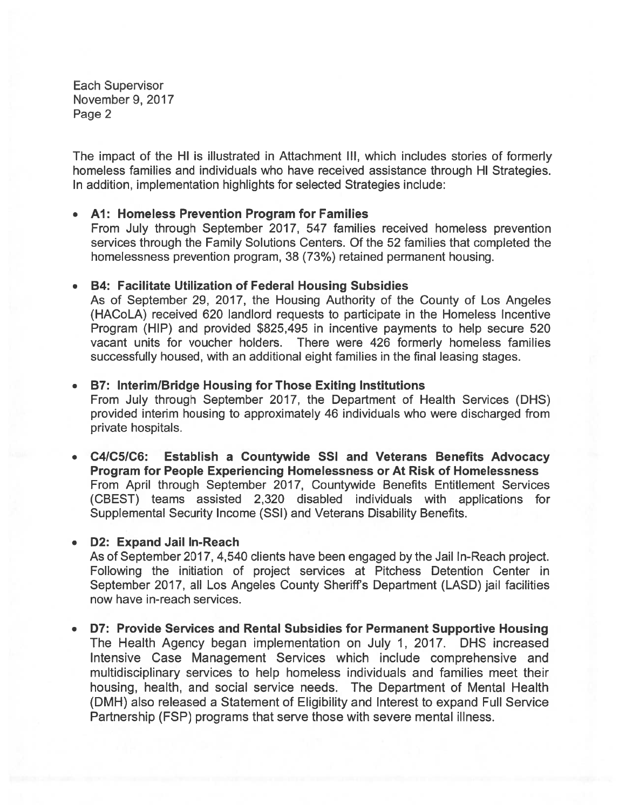The impact of the HI is illustrated in Attachment III, which includes stories of formerly homeless families and individuals who have received assistance through HI Strategies. In addition, implementation highlights for selected Strategies include:

# • Al: Homeless Prevention Program for Families

From July through September 2017, 547 families received homeless prevention services through the Family Solutions Centers. Of the 52 families that completed the homelessness prevention program, 38 (73%) retained permanen<sup>t</sup> housing.

#### •B4: Facilitate Utilization of Federal Housing Subsidies

As of September 29, 2017, the Housing Authority of the County of Los Angeles (HAC0LA) received 620 landlord requests to participate in the Homeless Incentive Program (HIP) and provided \$825,495 in incentive payments to help secure 520 vacant units for voucher holders. There were 426 formerly homeless families successfully housed, with an additional eight families in the final leasing stages.

# • B7: Interim/Bridge Housing for Those Exiting Institutions

From July through September 2017, the Department of Health Services (DHS) provided interim housing to approximately 46 individuals who were discharged from private hospitals.

• C41C5/C6: Establish <sup>a</sup> Countywide SSI and Veterans Benefits Advocacy Program for People Experiencing Homelessness or At Risk of Homelessness From April through September 2017, Countywide Benefits Entitlement Services (CBEST) teams assisted 2,320 disabled individuals with applications for Supplemental Security Income (SSI) and Veterans Disability Benefits.

#### •D2: Expand Jail In-Reach

As of September 2017, 4,540 clients have been engaged by the Jail In-Reach project. Following the initiation of project services at Pitchess Detention Center in September 2017, all Los Angeles County Sheriff's Department (LASD) jail facilities now have in-reach services.

• D7: Provide Services and Rental Subsidies for Permanent Supportive Housing The Health Agency began implementation on July 1, 2017. DHS increased Intensive Case Management Services which include comprehensive and multidisciplinary services to help homeless individuals and families meet their housing, health, and social service needs. The Department of Mental Health (DMH) also released <sup>a</sup> Statement of Eligibility and Interest to expand Full Service Partnership (FSP) programs that serve those with severe mental illness.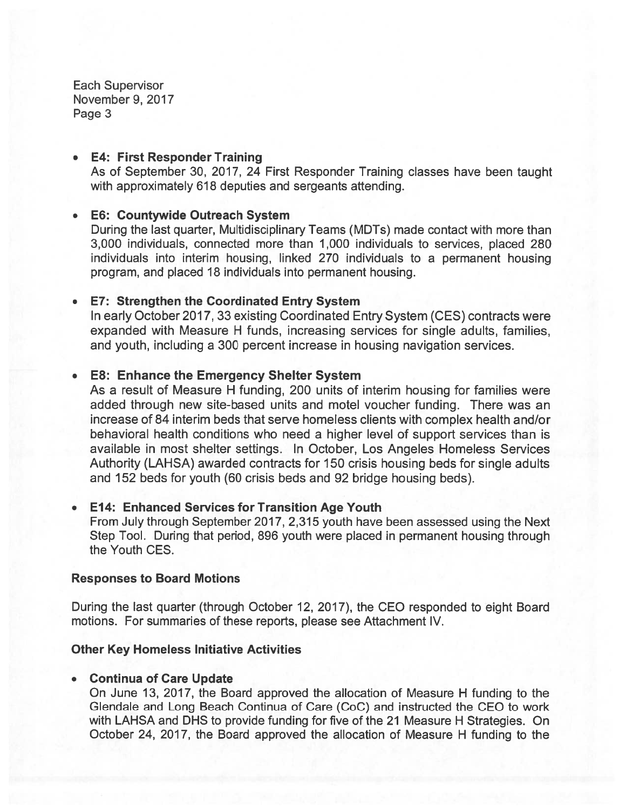# • E4; First Responder Training

As of September 30, 2017, 24 First Responder Training classes have been taught with approximately 618 deputies and sergeants attending.

# • E6: Countywide Outreach System

During the last quarter, Multidisciplinary Teams (MDT5) made contact with more than 3,000 individuals, connected more than 1,000 individuals to services, placed 280 individuals into interim housing, linked 270 individuals to <sup>a</sup> permanen<sup>t</sup> housing program, and placed 18 individuals into permanen<sup>t</sup> housing.

### • E7: Strengthen the Coordinated Entry System

In early October 2017, 33 existing Coordinated Entry System (CES) contracts were expanded with Measure H funds, increasing services for single adults, families, and youth, including <sup>a</sup> 300 percen<sup>t</sup> increase in housing navigation services.

# • E8: Enhance the Emergency Shelter System

As <sup>a</sup> result of Measure H funding, 200 units of interim housing for families were added through new site-based units and motel voucher funding. There was an increase of 84 interim beds that serve homeless clients with complex health and/or behavioral health conditions who need <sup>a</sup> higher level of suppor<sup>t</sup> services than is available in most shelter settings. In October, Los Angeles Homeless Services Authority (LAHSA) awarded contracts for 150 crisis housing beds for single adults and 152 beds for youth (60 crisis beds and 92 bridge housing beds).

#### •El 4: Enhanced Services for Transition Age Youth

From July through September 2017, 2,315 youth have been assessed using the Next Step Tool. During that period, 896 youth were placed in permanen<sup>t</sup> housing through the Youth CES.

### Responses to Board Motions

During the last quarter (through October 12, 2017), the CEO responded to eight Board motions. For summaries of these reports, please see Attachment IV.

### Other Key Homeless Initiative Activities

### • Continua of Care Update

On June 13, 2017, the Board approved the allocation of Measure H funding to the Glendale and Long Beach Continua of Care (C0C) and instructed the CEO to work with LAHSA and DHS to provide funding for five of the 21 Measure H Strategies. On October 24, 2017, the Board approved the allocation of Measure H funding to the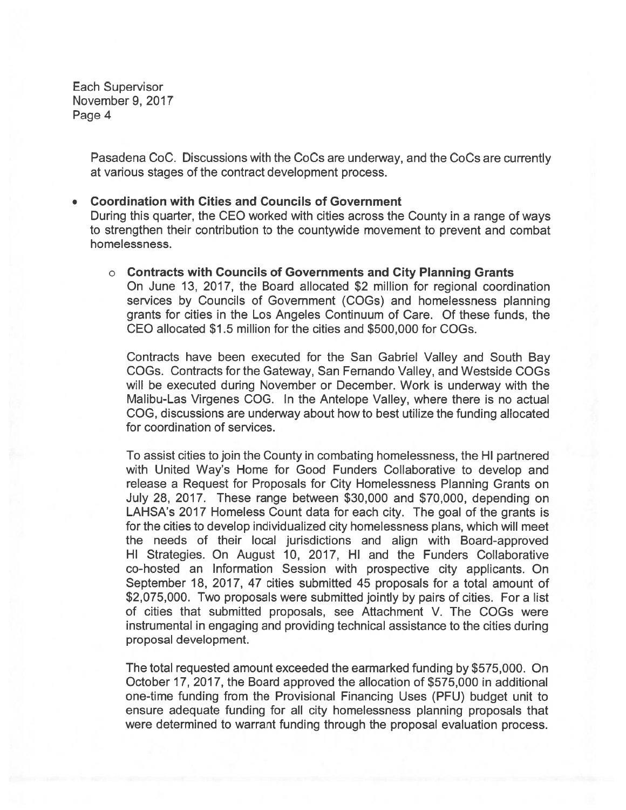> Pasadena CoO. Discussions with the CoCs are underway, and the CoCs are currently at various stages of the contract development process.

#### •Coordination with Cities and Councils of Government

During this quarter, the CEO worked with cities across the County in <sup>a</sup> range of ways to strengthen their contribution to the countywide movement to preven<sup>t</sup> and combat homelessness.

#### <sup>o</sup> Contracts with Councils of Governments and City Planning Grants

On June 13, 2017, the Board allocated \$2 million for regional coordination services by Councils of Government (COGs) and homelessness planning grants for cities in the Los Angeles Continuum of Care. Of these funds, the CEO allocated \$1.5 million for the cities and \$500,000 for COGs.

Contracts have been executed for the San Gabriel Valley and South Bay COGs. Contracts for the Gateway, San Fernando Valley, and Westside COGs will be executed during November or December. Work is underway with the Malibu-Las Virgenes COG. In the Antelope Valley, where there is no actual COG, discussions are underway about how to best utilize the funding allocated for coordination of services.

To assist cities to join the County in combating homelessness, the HI partnered with United Way's Home for Good Funders Collaborative to develop and release <sup>a</sup> Request for Proposals for City Homelessness Planning Grants on July 28, 2017. These range between \$30,000 and \$70,000, depending on LAHSA's 2017 Homeless Count data for each city. The goal of the grants is for the cities to develop individualized city homelessness plans, which will meet the needs of their local jurisdictions and align with Board-approved HI Strategies. On August 10, 2017, HI and the Funders Collaborative co-hosted an Information Session with prospective city applicants. On September 18, 2017, 47 cities submitted 45 proposals for <sup>a</sup> total amount of \$2,075,000. Two proposals were submitted jointly by pairs of cities. For <sup>a</sup> list of cities that submitted proposals, see Attachment V. The COGs were instrumental in engaging and providing technical assistance to the cities during proposal development.

The total requested amount exceeded the earmarked funding by \$575,000. On October 17, 2017, the Board approved the allocation of \$575,000 in additional one-time funding from the Provisional Financing Uses (PFU) budget unit to ensure adequate funding for all city homelessness planning proposals that were determined to warrant funding through the proposal evaluation process.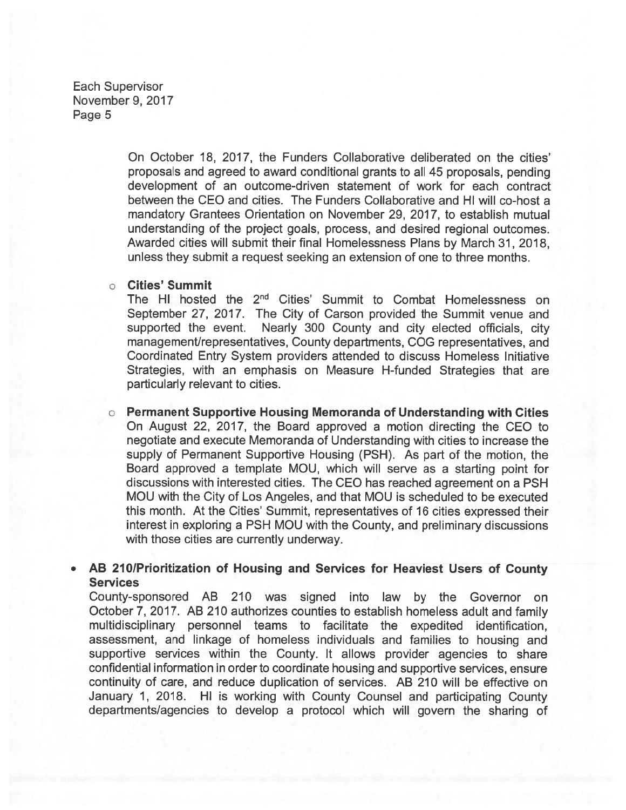> On October 18, 2017, the Funders Collaborative deliberated on the cities' proposals and agreed to award conditional grants to all 45 proposals, pending development of an outcome-driven statement of work for each contract between the CEO and cities. The Funders Collaborative and HI will co-host <sup>a</sup> mandatory Grantees Orientation on November 29, 2017, to establish mutual understanding of the project goals, process, and desired regional outcomes. Awarded cities will submit their final Homelessness Plans by March 31, 2018, unless they submit <sup>a</sup> reques<sup>t</sup> seeking an extension of one to three months.

### <sup>o</sup> Cities' Summit

The HI hosted the 2<sup>nd</sup> Cities' Summit to Combat Homelessness on September 27, 2017. The City of Carson provided the Summit venue and supported the event. Nearly 300 County and city elected officials, city management/representatives, County departments, COG representatives, and Coordinated Entry System providers attended to discuss Homeless Initiative Strategies, with an emphasis on Measure H-funded Strategies that are particularly relevant to cities.

Permanent Supportive Housing Memoranda of Understanding with Cities On August 22, 2017, the Board approved <sup>a</sup> motion directing the CEO to negotiate and execute Memoranda of Understanding with cities to increase the supply of Permanent Supportive Housing (PSH). As par<sup>t</sup> of the motion, the Board approved <sup>a</sup> template MOU, which will serve as <sup>a</sup> starting point for discussions with interested cities. The CEO has reached agreemen<sup>t</sup> on <sup>a</sup> PSH MOU with the City of Los Angeles, and that MOU is scheduled to be executed this month. At the Cities' Summit, representatives of 16 cities expressed their interest in exploring <sup>a</sup> PSH MOU with the County, and preliminary discussions with those cities are currently underway.

#### •AB 210/Prioritization of Housing and Services for Heaviest Users of County **Services**

County-sponsored AB 210 was signed into law by the Governor on October 7, 2017. AB 210 authorizes counties to establish homeless adult and family multidisciplinary personnel teams to facilitate the expedited identification, assessment, and linkage of homeless individuals and families to housing and supportive services within the County. It allows provider agencies to share confidential information in order to coordinate housing and supportive services, ensure continuity of care, and reduce duplication of services. AB 210 will be effective on January 1, 2018. HI is working with County Counsel and participating County departments/agencies to develop <sup>a</sup> protocol which will govern the sharing of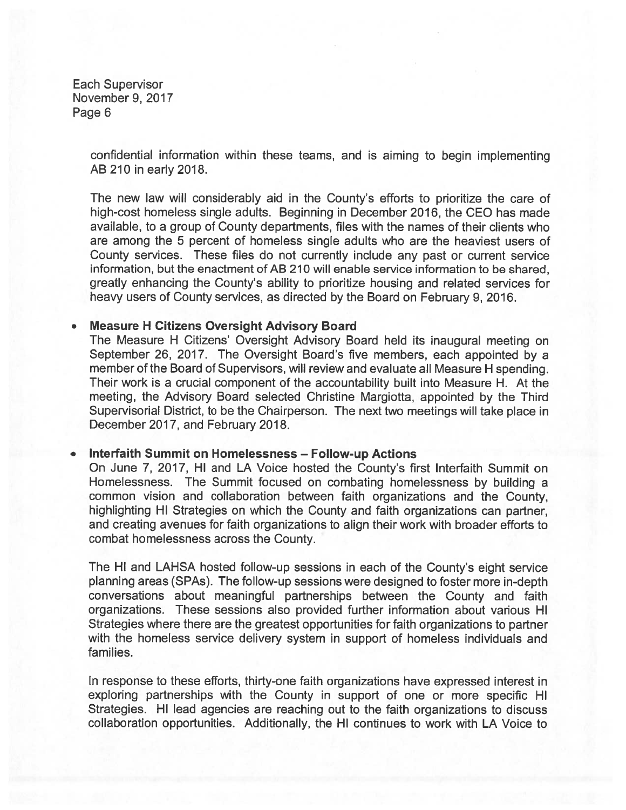> confidential information within these teams, and is aiming to begin implementing AB 210 in early 2018.

> The new law will considerably aid in the County's efforts to prioritize the care of high-cost homeless single adults. Beginning in December 2016, the CEO has made available, to <sup>a</sup> group of County departments, files with the names of their clients who are among the 5 percen<sup>t</sup> of homeless single adults who are the heaviest users of County services. These files do not currently include any pas<sup>t</sup> or current service information, but the enactment of AB 210 will enable service information to be shared, greatly enhancing the County's ability to prioritize housing and related services for heavy users of County services, as directed by the Board on February 9, 2016.

### Measure H Citizens Oversight Advisory Board

The Measure <sup>H</sup> Citizens' Oversight Advisory Board held its inaugural meeting on September 26, 2017. The Oversight Board's five members, each appointed by <sup>a</sup> member of the Board of Supervisors, will review and evaluate all Measure <sup>H</sup> spending. Their work is <sup>a</sup> crucial componen<sup>t</sup> of the accountability built into Measure H. At the meeting, the Advisory Board selected Christine Margiotta, appointed by the Third Supervisorial District, to be the Chairperson. The next two meetings will take place in December 2017, and February 2018.

### Interfaith Summit on Homelessness — Follow-up Actions

On June 7, 2017, HI and LA Voice hosted the County's first Interfaith Summit on Homelessness. The Summit focused on combating homelessness by building <sup>a</sup> common vision and collaboration between faith organizations and the County, highlighting HI Strategies on which the County and faith organizations can partner, and creating avenues for faith organizations to align their work with broader efforts to combat homelessness across the County.

The HI and LAHSA hosted follow-up sessions in each of the County's eight service planning areas (SPAs). The follow-up sessions were designed to foster more in-depth conversations about meaningful partnerships between the County and faith organizations. These sessions also provided further information about various HI Strategies where there are the greatest opportunities for faith organizations to partner with the homeless service delivery system in suppor<sup>t</sup> of homeless individuals and families.

In response to these efforts, thirty-one faith organizations have expressed interest in exploring partnerships with the County in suppor<sup>t</sup> of one or more specific HI Strategies. HI lead agencies are reaching out to the faith organizations to discuss collaboration opportunities. Additionally, the HI continues to work with LA Voice to